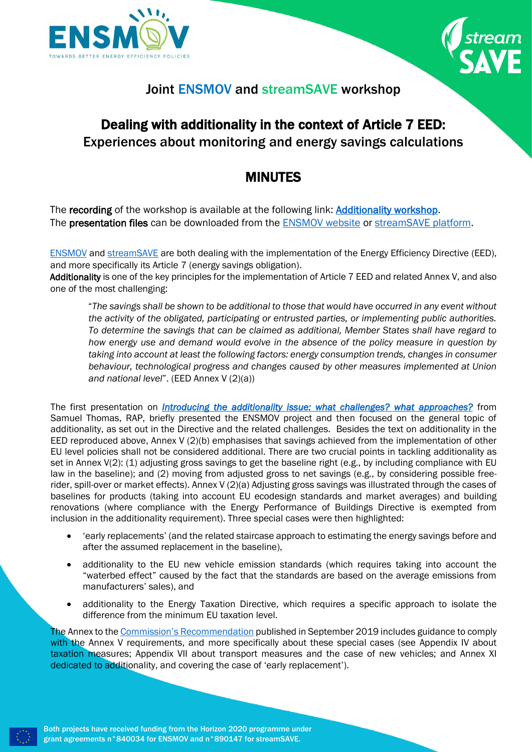



## Joint ENSMOV and streamSAVE workshop

## Dealing with additionality in the context of Article 7 EED: Experiences about monitoring and energy savings calculations

## MINUTES

The recording of the workshop is available at the following link: [Additionality workshop.](https://www.youtube.com/watch?v=taZRzb6uE1k) The **presentation files** can be downloaded from the [ENSMOV website](https://ensmov.eu/recording-dealing-with-additionality-in-the-context-of-article-7-eed-experiences-about-monitoring-and-energy-savings-calculations/) or [streamSAVE platform.](https://streamsave.flexx.camp/support-contribution-368)

[ENSMOV](https://ensmov.eu/) and [streamSAVE](http://www.streamsave.eu/) are both dealing with the implementation of the Energy Efficiency Directive (EED), and more specifically its Article 7 (energy savings obligation).

Additionality is one of the key principles for the implementation of Article 7 EED and related Annex V, and also one of the most challenging:

"*The savings shall be shown to be additional to those that would have occurred in any event without the activity of the obligated, participating or entrusted parties, or implementing public authorities. To determine the savings that can be claimed as additional, Member States shall have regard to how energy use and demand would evolve in the absence of the policy measure in question by taking into account at least the following factors: energy consumption trends, changes in consumer behaviour, technological progress and changes caused by other measures implemented at Union and national level*". (EED Annex V (2)(a))

The first presentation on *[Introducing the additionality issue: what challenges? what approaches?](https://article7eed.eu/wp-content/uploads/2022/02/01_ENSMOV_additionality_issue_THOMAS_Samuel.pdf)* from Samuel Thomas, RAP, briefly presented the ENSMOV project and then focused on the general topic of additionality, as set out in the Directive and the related challenges. Besides the text on additionality in the EED reproduced above, Annex V (2)(b) emphasises that savings achieved from the implementation of other EU level policies shall not be considered additional. There are two crucial points in tackling additionality as set in Annex V(2): (1) adjusting gross savings to get the baseline right (e.g., by including compliance with EU law in the baseline); and (2) moving from adjusted gross to net savings (e.g., by considering possible freerider, spill-over or market effects). Annex V (2)(a) Adjusting gross savings was illustrated through the cases of baselines for products (taking into account EU ecodesign standards and market averages) and building renovations (where compliance with the Energy Performance of Buildings Directive is exempted from inclusion in the additionality requirement). Three special cases were then highlighted:

- 'early replacements' (and the related staircase approach to estimating the energy savings before and after the assumed replacement in the baseline),
- additionality to the EU new vehicle emission standards (which requires taking into account the "waterbed effect" caused by the fact that the standards are based on the average emissions from manufacturers' sales), and
- additionality to the Energy Taxation Directive, which requires a specific approach to isolate the difference from the minimum EU taxation level.

The Annex to the [Commission's Recommendation](http://data.europa.eu/eli/reco/2019/1658/oj) published in September 2019 includes guidance to comply with the Annex V requirements, and more specifically about these special cases (see Appendix IV about taxation measures; Appendix VII about transport measures and the case of new vehicles; and Annex XI dedicated to additionality, and covering the case of 'early replacement').



Both projects have received funding from the Horizon 2020 programme under grant agreements n°840034 for ENSMOV and n°890147 for streamSAVE.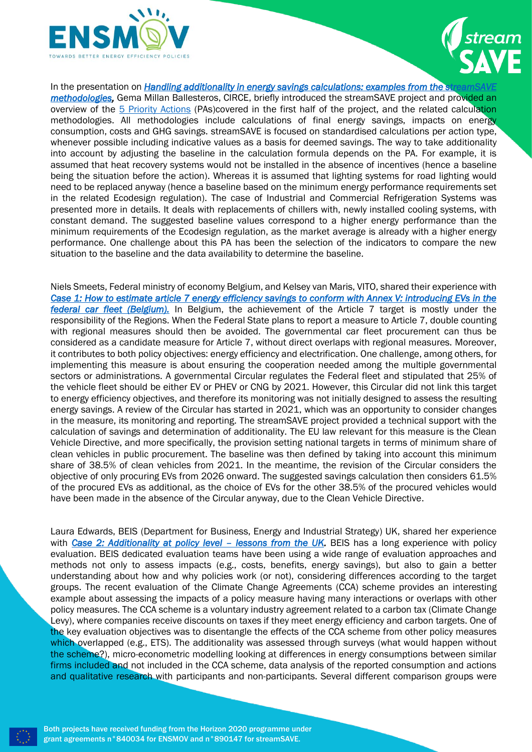



In the presentation on *Handling additionality in energy savings calculations: examples from the streams methodologies*, Gema Millan Ballesteros, CIRCE, briefly introduced the streamSAVE project and provided an overview of the [5 Priority Actions](https://streamsave.eu/priority-actions-impacts/) (PAs)covered in the first half of the project, and the related calculation methodologies. All methodologies include calculations of final energy savings, impacts on energy consumption, costs and GHG savings. streamSAVE is focused on standardised calculations per action type, whenever possible including indicative values as a basis for deemed savings. The way to take additionality into account by adjusting the baseline in the calculation formula depends on the PA. For example, it is assumed that heat recovery systems would not be installed in the absence of incentives (hence a baseline being the situation before the action). Whereas it is assumed that lighting systems for road lighting would need to be replaced anyway (hence a baseline based on the minimum energy performance requirements set in the related Ecodesign regulation). The case of Industrial and Commercial Refrigeration Systems was presented more in details. It deals with replacements of chillers with, newly installed cooling systems, with constant demand. The suggested baseline values correspond to a higher energy performance than the minimum requirements of the Ecodesign regulation, as the market average is already with a higher energy performance. One challenge about this PA has been the selection of the indicators to compare the new situation to the baseline and the data availability to determine the baseline.

Niels Smeets, Federal ministry of economy Belgium, and Kelsey van Maris, VITO, shared their experience with *[Case 1: How to estimate article 7 energy efficiency savings to conform with Annex V: introducing EVs in the](https://article7eed.eu/wp-content/uploads/2022/02/03_Belgian_example_FederalCarFleet_SMEETS_Niels_VANMARIS_Kelsey.pdf)  [federal car fleet \(Belgium\).](https://article7eed.eu/wp-content/uploads/2022/02/03_Belgian_example_FederalCarFleet_SMEETS_Niels_VANMARIS_Kelsey.pdf)* In Belgium, the achievement of the Article 7 target is mostly under the responsibility of the Regions. When the Federal State plans to report a measure to Article 7, double counting with regional measures should then be avoided. The governmental car fleet procurement can thus be considered as a candidate measure for Article 7, without direct overlaps with regional measures. Moreover, it contributes to both policy objectives: energy efficiency and electrification. One challenge, among others, for implementing this measure is about ensuring the cooperation needed among the multiple governmental sectors or administrations. A governmental Circular regulates the Federal fleet and stipulated that 25% of the vehicle fleet should be either EV or PHEV or CNG by 2021. However, this Circular did not link this target to energy efficiency objectives, and therefore its monitoring was not initially designed to assess the resulting energy savings. A review of the Circular has started in 2021, which was an opportunity to consider changes in the measure, its monitoring and reporting. The streamSAVE project provided a technical support with the calculation of savings and determination of additionality. The EU law relevant for this measure is the Clean Vehicle Directive, and more specifically, the provision setting national targets in terms of minimum share of clean vehicles in public procurement. The baseline was then defined by taking into account this minimum share of 38.5% of clean vehicles from 2021. In the meantime, the revision of the Circular considers the objective of only procuring EVs from 2026 onward. The suggested savings calculation then considers 61.5% of the procured EVs as additional, as the choice of EVs for the other 38.5% of the procured vehicles would have been made in the absence of the Circular anyway, due to the Clean Vehicle Directive.

Laura Edwards, BEIS (Department for Business, Energy and Industrial Strategy) UK, shared her experience with *[Case 2: Additionality at policy level](https://article7eed.eu/wp-content/uploads/2022/02/04_UK_example_CCAscheme_EDWARDS_Laura.pdf) - lessons from the UK. BEIS has a long experience with policy* evaluation. BEIS dedicated evaluation teams have been using a wide range of evaluation approaches and methods not only to assess impacts (e.g., costs, benefits, energy savings), but also to gain a better understanding about how and why policies work (or not), considering differences according to the target groups. The recent evaluation of the Climate Change Agreements (CCA) scheme provides an interesting example about assessing the impacts of a policy measure having many interactions or overlaps with other policy measures. The CCA scheme is a voluntary industry agreement related to a carbon tax (Climate Change Levy), where companies receive discounts on taxes if they meet energy efficiency and carbon targets. One of the key evaluation objectives was to disentangle the effects of the CCA scheme from other policy measures which overlapped (e.g., ETS). The additionality was assessed through surveys (what would happen without the scheme?), micro-econometric modelling looking at differences in energy consumptions between similar firms included and not included in the CCA scheme, data analysis of the reported consumption and actions and qualitative research with participants and non-participants. Several different comparison groups were



Both projects have received funding from the Horizon 2020 programme under grant agreements n°840034 for ENSMOV and n°890147 for streamSAVE.